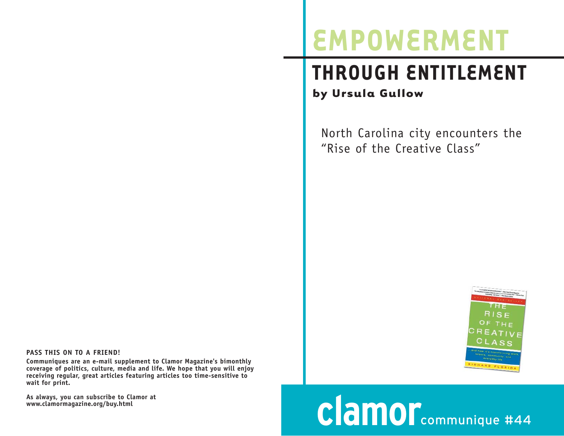## **EMPOWERMENT**

## **THROUGH ENTITLEMENT by Ursula Gullow**

North Carolina city encounters the "Rise of the Creative Class"



## **clamor**communique #44

**PASS THIS ON TO A FRIEND!**

**Communiques are an e-mail supplement to Clamor Magazine's bimonthly coverage of politics, culture, media and life. We hope that you will enjoy receiving regular, great articles featuring articles too time-sensitive to wait for print.** 

**As always, you can subscribe to Clamor at www.clamormagazine.org/buy.html**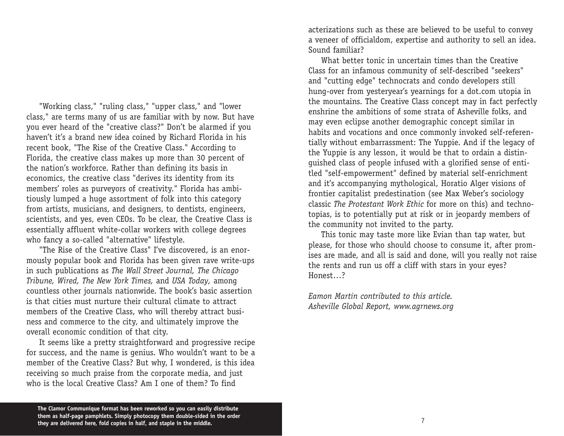"Working class," "ruling class," "upper class," and "lower class," are terms many of us are familiar with by now. But have you ever heard of the "creative class?" Don't be alarmed if you haven't it's a brand new idea coined by Richard Florida in his recent book, "The Rise of the Creative Class." According to Florida, the creative class makes up more than 30 percent of the nation's workforce. Rather than defining its basis in economics, the creative class "derives its identity from its members' roles as purveyors of creativity." Florida has ambitiously lumped a huge assortment of folk into this category from artists, musicians, and designers, to dentists, engineers, scientists, and yes, even CEOs. To be clear, the Creative Class is essentially affluent white-collar workers with college degrees who fancy a so-called "alternative" lifestyle.

"The Rise of the Creative Class" I've discovered, is an enormo usly popular book and Florida has been given rave write-ups in such publications as *The Wall Street Journal, The Chicago Tribune, Wired, The New York Times,* and *USA Today,* among countless other journals nationwide. The book's basic assertion is that cities must nurture their cultural climate to attract members of the Creative Class, who will thereby attract business and commerce to the city, and ultimately improve the overall economic condition of that city.

It seems like a pretty straightforward and progressive recipe for success, and the name is genius. Who wouldn't want to be a member of the Creative Class? But why, I wondered, is this idea receiving so much praise from the corporate media, and just who is the local Creative Class? Am I one of them? To find

acterizations such as these are believed to be useful to convey a veneer of officialdom, expertise and authority to sell an idea. Sound familiar?

What better tonic in uncertain times than the Creative Class for an infamous community of self-described "seekers" and "cutting edge" technocrats and condo developers still hu ng-over from yesteryear's yearnings for a dot.com utopia in the mountains. The Creative Class concept may in fact perfectly enshrine the ambitions of some strata of Asheville folks, and may even eclipse another demographic concept similar in habits and vocations and once commonly invoked self-referentially without embarrassment: The Yuppie. And if the legacy of the Yuppie is any lesson, it would be that to ordain a distinguished class of people infused with a glorified sense of entitled "self-empowerment" defined by material self-enrichment and it's accompanying mythological, Horatio Alger visions of frontier capitalist predestination (see Max Weber's sociology classic *The Protestant Work Ethic* for more on this) and technotopias, is to potentially put at risk or in jeopardy members of the community not invited to the party.

This tonic may taste more like Evian than tap water, but please, for those who should choose to consume it, after promises are made, and all is said and done, will you really not raise the rents and run us off a cliff with stars in your eyes? Ho nest…?

*Eamon Martin contributed to this article. Asheville Global Report, www.agrnews.org*

**The Clamor Communique format has been reworked so you can easily distribute them as half-page pamphlets. Simply photocopy them double-sided in the order they are delivered here, fold copies in half, and staple in the middle.**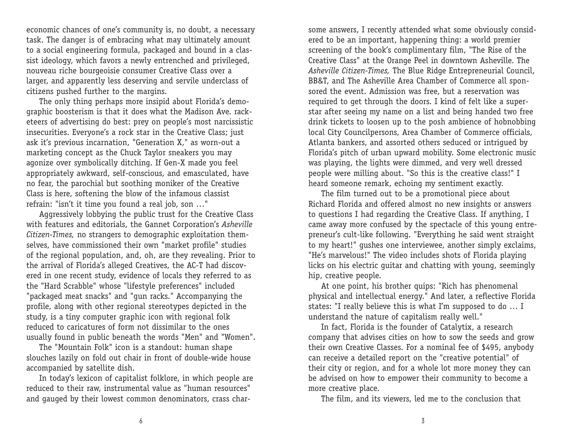economic chances of one's community is, no doubt, a necessary task. The danger is of embracing what may ultimately amount to a social engineering formula, packaged and bound in a classist ideology, which favors a newly entrenched and privileged, nouveau riche bourgeoisie consumer Creative Class over a larger, and apparently less deserving and servile underclass of citizens pushed further to the margins.

The only thing perhaps more insipid about Florida's demographic boosterism is that it does what the Madison Ave. racketeers of advertising do best: prey on people's most narcissistic insecurities. Everyone's a rock star in the Creative Class; just ask it's previous incarnation, "Generation X," as worn-out a marketing concept as the Chuck Taylor sneakers you may agonize over symbolically ditching. If Gen-X made you feel appropriately awkward, self-conscious, and emasculated, have no fear, the parochial but soothing moniker of the Creative Class is here, softening the blow of the infamous classist refrain: "isn't it time you found a real job, son …"

Aggressively lobbying the public trust for the Creative Class with features and editorials, the Gannet Corporation's *Asheville Citizen-Times,* no strangers to demographic exploitation themselves, have commissioned their own "market profile" studies of the regional population, and, oh, are they revealing. Prior to the arrival of Florida's alleged Creatives, the AC-T had discovered in one recent study, evidence of locals they referred to as the "Hard Scrabble" whose "lifestyle preferences" included "packaged meat snacks" and "gun racks." Accompanying the profile, along with other regional stereotypes depicted in the study, is a tiny computer graphic icon with regional folk reduced to caricatures of form not dissimilar to the ones usually found in public beneath the words "Men" and "Women".

The "Mountain Folk" icon is a standout: human shape slouches lazily on fold out chair in front of double-wide house accompanied by satellite dish.

In today's lexicon of capitalist folklore, in which people are reduced to their raw, instrumental value as "human resources" and gauged by their lowest common denominators, crass charsome answers, I recently attended what some obviously considered to be an important, happening thing: a world premier screening of the book's complimentary film, "The Rise of the Creative Class" at the Orange Peel in downtown Asheville. The *Asheville Citizen-Times,* The Blue Ridge Entrepreneurial Council, BB&T, and The Asheville Area Chamber of Commerce all sponsored the event. Admission was free, but a reservation was required to get through the doors. I kind of felt like a superstar after seeing my name on a list and being handed two free drink tickets to loosen up to the posh ambience of hobnobbing local City Councilpersons, Area Chamber of Commerce officials, Atlanta bankers, and assorted others seduced or intrigued by Florida's pitch of urban upward mobility. Some electronic music was playing, the lights were dimmed, and very well dressed people were milling about. "So this is the creative class!" I heard someone remark, echoing my sentiment exactly.

The film turned out to be a promotional piece about Richard Florida and offered almost no new insights or answers to questions I had regarding the Creative Class. If anything, I came away more confused by the spectacle of this young entrepreneur's cult-like following. "Everything he said went straight to my heart!" gushes one interviewee, another simply exclaims, "He's marvelous!" The video includes shots of Florida playing licks on his electric guitar and chatting with young, seemingly hip, creative people.

At one point, his brother quips: "Rich has phenomenal physical and intellectual energy." And later, a reflective Florida states: "I really believe this is what I'm supposed to do … I understand the nature of capitalism really well."

In fact, Florida is the founder of Catalytix, a research company that advises cities on how to sow the seeds and grow their own Creative Classes. For a nominal fee of \$495, anybody can receive a detailed report on the "creative potential" of their city or region, and for a whole lot more money they can be advised on how to empower their community to become a more creative place.

The film, and its viewers, led me to the conclusion that